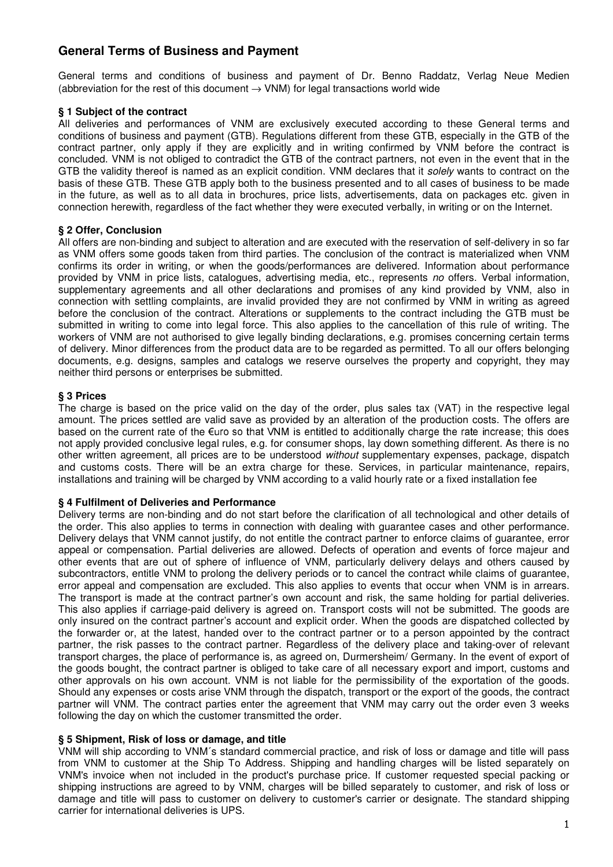# **General Terms of Business and Payment**

General terms and conditions of business and payment of Dr. Benno Raddatz, Verlag Neue Medien (abbreviation for the rest of this document  $\rightarrow$  VNM) for legal transactions world wide

### **§ 1 Subject of the contract**

All deliveries and performances of VNM are exclusively executed according to these General terms and conditions of business and payment (GTB). Regulations different from these GTB, especially in the GTB of the contract partner, only apply if they are explicitly and in writing confirmed by VNM before the contract is concluded. VNM is not obliged to contradict the GTB of the contract partners, not even in the event that in the GTB the validity thereof is named as an explicit condition. VNM declares that it solely wants to contract on the basis of these GTB. These GTB apply both to the business presented and to all cases of business to be made in the future, as well as to all data in brochures, price lists, advertisements, data on packages etc. given in connection herewith, regardless of the fact whether they were executed verbally, in writing or on the Internet.

## **§ 2 Offer, Conclusion**

All offers are non-binding and subject to alteration and are executed with the reservation of self-delivery in so far as VNM offers some goods taken from third parties. The conclusion of the contract is materialized when VNM confirms its order in writing, or when the goods/performances are delivered. Information about performance provided by VNM in price lists, catalogues, advertising media, etc., represents no offers. Verbal information, supplementary agreements and all other declarations and promises of any kind provided by VNM, also in connection with settling complaints, are invalid provided they are not confirmed by VNM in writing as agreed before the conclusion of the contract. Alterations or supplements to the contract including the GTB must be submitted in writing to come into legal force. This also applies to the cancellation of this rule of writing. The workers of VNM are not authorised to give legally binding declarations, e.g. promises concerning certain terms of delivery. Minor differences from the product data are to be regarded as permitted. To all our offers belonging documents, e.g. designs, samples and catalogs we reserve ourselves the property and copyright, they may neither third persons or enterprises be submitted.

## **§ 3 Prices**

The charge is based on the price valid on the day of the order, plus sales tax (VAT) in the respective legal amount. The prices settled are valid save as provided by an alteration of the production costs. The offers are based on the current rate of the  $\epsilon$ uro so that VNM is entitled to additionally charge the rate increase; this does not apply provided conclusive legal rules, e.g. for consumer shops, lay down something different. As there is no other written agreement, all prices are to be understood without supplementary expenses, package, dispatch and customs costs. There will be an extra charge for these. Services, in particular maintenance, repairs, installations and training will be charged by VNM according to a valid hourly rate or a fixed installation fee

### **§ 4 Fulfilment of Deliveries and Performance**

Delivery terms are non-binding and do not start before the clarification of all technological and other details of the order. This also applies to terms in connection with dealing with guarantee cases and other performance. Delivery delays that VNM cannot justify, do not entitle the contract partner to enforce claims of guarantee, error appeal or compensation. Partial deliveries are allowed. Defects of operation and events of force majeur and other events that are out of sphere of influence of VNM, particularly delivery delays and others caused by subcontractors, entitle VNM to prolong the delivery periods or to cancel the contract while claims of guarantee, error appeal and compensation are excluded. This also applies to events that occur when VNM is in arrears. The transport is made at the contract partner's own account and risk, the same holding for partial deliveries. This also applies if carriage-paid delivery is agreed on. Transport costs will not be submitted. The goods are only insured on the contract partner's account and explicit order. When the goods are dispatched collected by the forwarder or, at the latest, handed over to the contract partner or to a person appointed by the contract partner, the risk passes to the contract partner. Regardless of the delivery place and taking-over of relevant transport charges, the place of performance is, as agreed on, Durmersheim/ Germany. In the event of export of the goods bought, the contract partner is obliged to take care of all necessary export and import, customs and other approvals on his own account. VNM is not liable for the permissibility of the exportation of the goods. Should any expenses or costs arise VNM through the dispatch, transport or the export of the goods, the contract partner will VNM. The contract parties enter the agreement that VNM may carry out the order even 3 weeks following the day on which the customer transmitted the order.

### **§ 5 Shipment, Risk of loss or damage, and title**

VNM will ship according to VNM´s standard commercial practice, and risk of loss or damage and title will pass from VNM to customer at the Ship To Address. Shipping and handling charges will be listed separately on VNM's invoice when not included in the product's purchase price. If customer requested special packing or shipping instructions are agreed to by VNM, charges will be billed separately to customer, and risk of loss or damage and title will pass to customer on delivery to customer's carrier or designate. The standard shipping carrier for international deliveries is UPS.